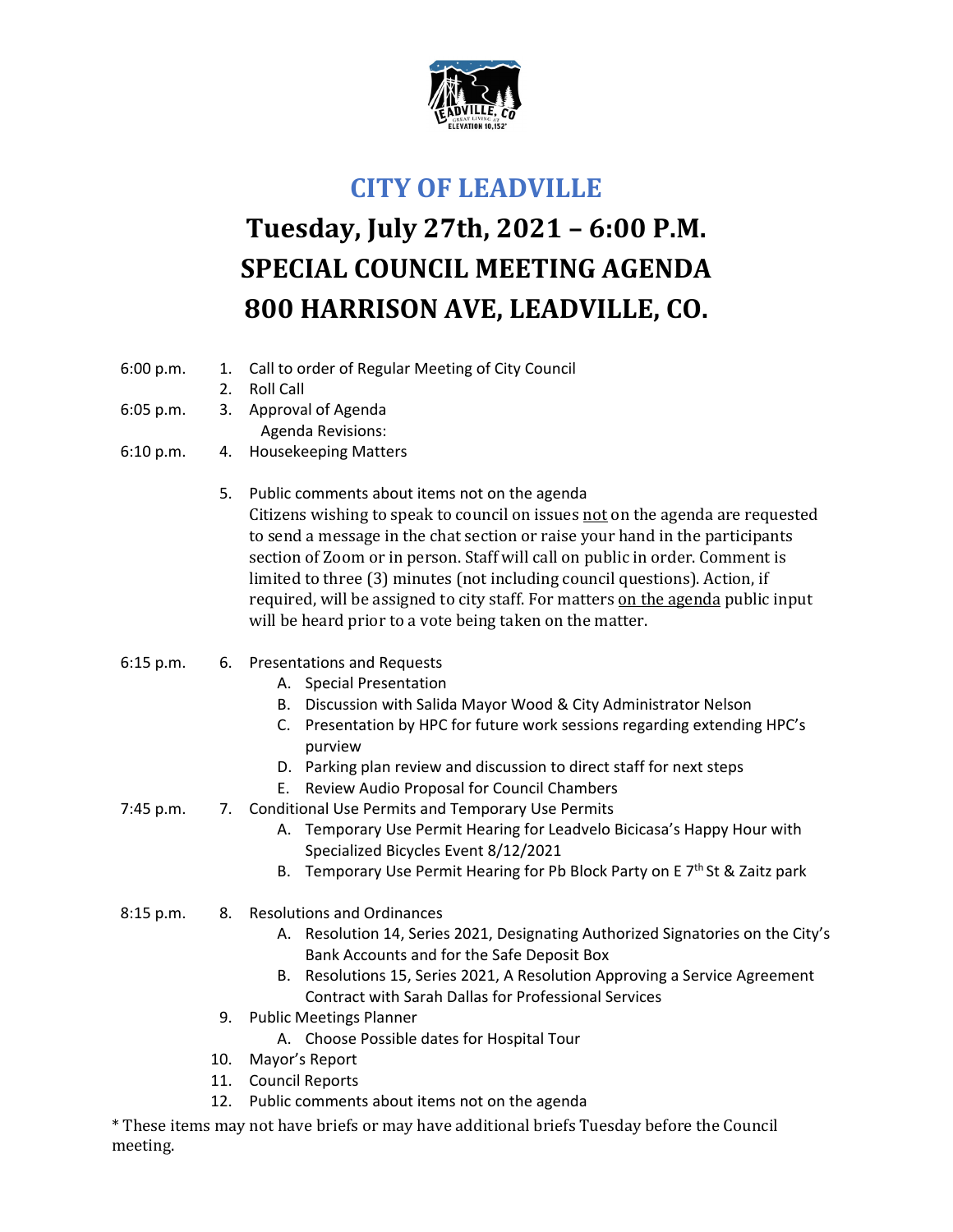

## **CITY OF LEADVILLE**

## **Tuesday, July 27th, 2021 – 6:00 P.M. SPECIAL COUNCIL MEETING AGENDA 800 HARRISON AVE, LEADVILLE, CO.**

- 6:00 p.m. 1. Call to order of Regular Meeting of City Council
	- 2. Roll Call
- 6:05 p.m. 3. Approval of Agenda
	- Agenda Revisions:
- 6:10 p.m. 4. Housekeeping Matters
	- 5. Public comments about items not on the agenda Citizens wishing to speak to council on issues not on the agenda are requested to send a message in the chat section or raise your hand in the participants section of Zoom or in person. Staff will call on public in order. Comment is limited to three (3) minutes (not including council questions). Action, if required, will be assigned to city staff. For matters on the agenda public input will be heard prior to a vote being taken on the matter.
- 6:15 p.m. 6. Presentations and Requests
	- A. Special Presentation
	- B. Discussion with Salida Mayor Wood & City Administrator Nelson
	- C. Presentation by HPC for future work sessions regarding extending HPC's purview
	- D. Parking plan review and discussion to direct staff for next steps
	- E. Review Audio Proposal for Council Chambers
- 7:45 p.m. 7. Conditional Use Permits and Temporary Use Permits
	- A. Temporary Use Permit Hearing for Leadvelo Bicicasa's Happy Hour with Specialized Bicycles Event 8/12/2021
	- B. Temporary Use Permit Hearing for Pb Block Party on E 7<sup>th</sup> St & Zaitz park
- 8:15 p.m. 8. Resolutions and Ordinances
	- A. Resolution 14, Series 2021, Designating Authorized Signatories on the City's Bank Accounts and for the Safe Deposit Box
	- B. Resolutions 15, Series 2021, A Resolution Approving a Service Agreement Contract with Sarah Dallas for Professional Services
	- 9. Public Meetings Planner
		- A. Choose Possible dates for Hospital Tour
	- 10. Mayor's Report
	- 11. Council Reports
	- 12. Public comments about items not on the agenda

\* These items may not have briefs or may have additional briefs Tuesday before the Council meeting.